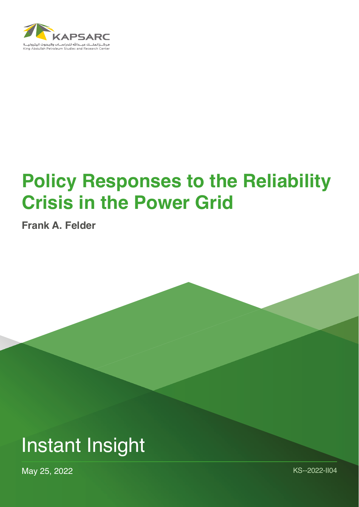

## **Policy Responses to the Reliability Crisis in the Power Grid**

**Frank A. Felder**

## Instant Insight

May 25, 2022 KS--2022-II04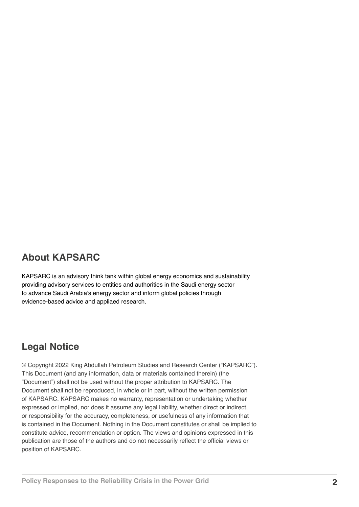## **About KAPSARC**

KAPSARC is an advisory think tank within global energy economics and sustainability providing advisory services to entities and authorities in the Saudi energy sector to advance Saudi Arabia's energy sector and inform global policies through evidence-based advice and appliaed research.

## **Legal Notice**

© Copyright 2022 King Abdullah Petroleum Studies and Research Center ("KAPSARC"). This Document (and any information, data or materials contained therein) (the "Document") shall not be used without the proper attribution to KAPSARC. The Document shall not be reproduced, in whole or in part, without the written permission of KAPSARC. KAPSARC makes no warranty, representation or undertaking whether expressed or implied, nor does it assume any legal liability, whether direct or indirect, or responsibility for the accuracy, completeness, or usefulness of any information that is contained in the Document. Nothing in the Document constitutes or shall be implied to constitute advice, recommendation or option. The views and opinions expressed in this publication are those of the authors and do not necessarily reflect the official views or position of KAPSARC.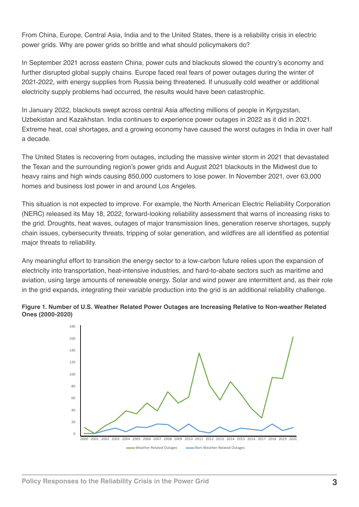From China, Europe, Central Asia, India and to the United States, there is a reliability crisis in electric power grids. Why are power grids so brittle and what should policymakers do?

In September 2021 across eastern China, power cuts and blackouts slowed the country's economy and further disrupted global supply chains. Europe faced real fears of power outages during the winter of 2021-2022, with energy supplies from Russia being threatened. If unusually cold weather or additional electricity supply problems had occurred, the results would have been catastrophic.

In January 2022, blackouts swept across central Asia affecting millions of people in Kyrgyzstan, Uzbekistan and Kazakhstan. India continues to experience power outages in 2022 as it did in 2021. Extreme heat, coal shortages, and a growing economy have caused the worst outages in India in over half a decade.

The United States is recovering from outages, including the massive winter storm in 2021 that devastated the Texan and the surrounding region's power grids and August 2021 blackouts in the Midwest due to heavy rains and high winds causing 850,000 customers to lose power. In November 2021, over 63,000 homes and business lost power in and around Los Angeles.

This situation is not expected to improve. For example, the North American Electric Reliability Corporation (NERC) released its May 18, 2022, forward-looking reliability assessment that warns of increasing risks to the grid. Droughts, heat waves, outages of major transmission lines, generation reserve shortages, supply chain issues, cybersecurity threats, tripping of solar generation, and wildfires are all identified as potential major threats to reliability.

Any meaningful effort to transition the energy sector to a low-carbon future relies upon the expansion of electricity into transportation, heat-intensive industries, and hard-to-abate sectors such as maritime and aviation, using large amounts of renewable energy. Solar and wind power are intermittent and, as their role in the grid expands, integrating their variable production into the grid is an additional reliability challenge.



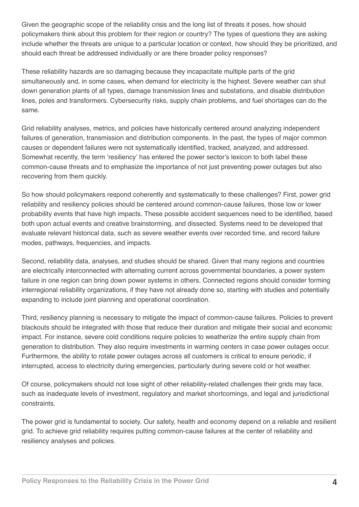Given the geographic scope of the reliability crisis and the long list of threats it poses, how should policymakers think about this problem for their region or country? The types of questions they are asking include whether the threats are unique to a particular location or context, how should they be prioritized, and should each threat be addressed individually or are there broader policy responses?

These reliability hazards are so damaging because they incapacitate multiple parts of the grid simultaneously and, in some cases, when demand for electricity is the highest. Severe weather can shut down generation plants of all types, damage transmission lines and substations, and disable distribution lines, poles and transformers. Cybersecurity risks, supply chain problems, and fuel shortages can do the same.

Grid reliability analyses, metrics, and policies have historically centered around analyzing independent failures of generation, transmission and distribution components. In the past, the types of major common causes or dependent failures were not systematically identified, tracked, analyzed, and addressed. Somewhat recently, the term 'resiliency' has entered the power sector's lexicon to both label these common-cause threats and to emphasize the importance of not just preventing power outages but also recovering from them quickly.

So how should policymakers respond coherently and systematically to these challenges? First, power grid reliability and resiliency policies should be centered around common-cause failures, those low or lower probability events that have high impacts. These possible accident sequences need to be identified, based both upon actual events and creative brainstorming, and dissected. Systems need to be developed that evaluate relevant historical data, such as severe weather events over recorded time, and record failure modes, pathways, frequencies, and impacts.

Second, reliability data, analyses, and studies should be shared. Given that many regions and countries are electrically interconnected with alternating current across governmental boundaries, a power system failure in one region can bring down power systems in others. Connected regions should consider forming interregional reliability organizations, if they have not already done so, starting with studies and potentially expanding to include joint planning and operational coordination.

Third, resiliency planning is necessary to mitigate the impact of common-cause failures. Policies to prevent blackouts should be integrated with those that reduce their duration and mitigate their social and economic impact. For instance, severe cold conditions require policies to weatherize the entire supply chain from generation to distribution. They also require investments in warming centers in case power outages occur. Furthermore, the ability to rotate power outages across all customers is critical to ensure periodic, if interrupted, access to electricity during emergencies, particularly during severe cold or hot weather.

Of course, policymakers should not lose sight of other reliability-related challenges their grids may face, such as inadequate levels of investment, regulatory and market shortcomings, and legal and jurisdictional constraints.

The power grid is fundamental to society. Our safety, health and economy depend on a reliable and resilient grid. To achieve grid reliability requires putting common-cause failures at the center of reliability and resiliency analyses and policies.